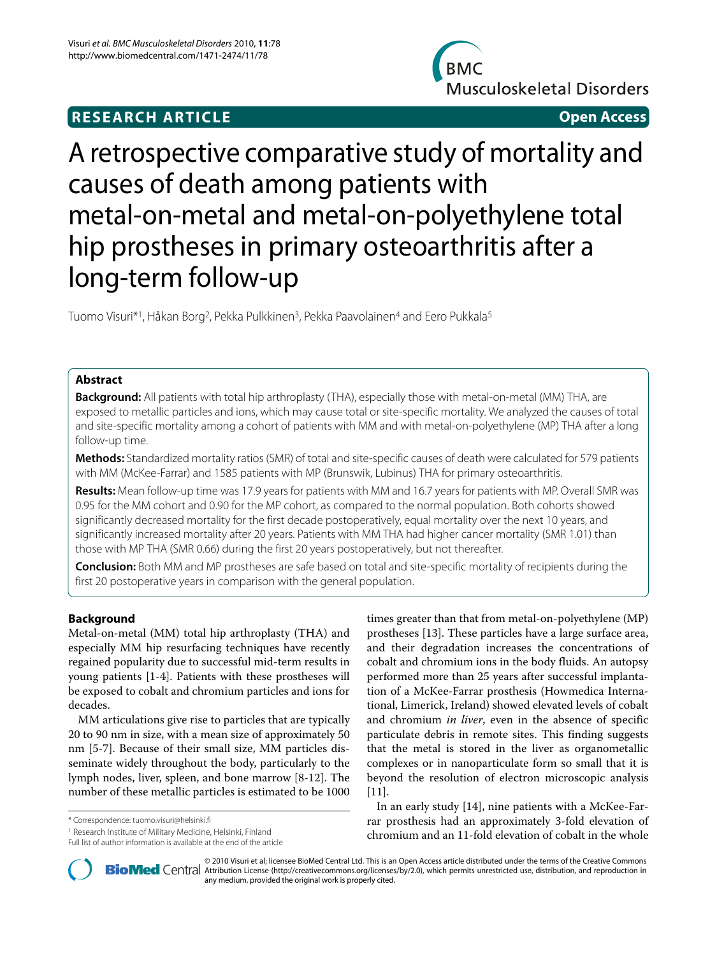## **RESEARCH ARTICLE Open Access**



# A retrospective comparative study of mortality and causes of death among patients with metal-on-metal and metal-on-polyethylene total hip prostheses in primary osteoarthritis after a long-term follow-up

Tuomo Visuri\*<sup>1</sup>, Håkan Borg<sup>2</sup>, Pekka Pulkkinen<sup>3</sup>, Pekka Paavolainen<sup>4</sup> and Eero Pukkala<sup>5</sup>

## **Abstract**

**Background:** All patients with total hip arthroplasty (THA), especially those with metal-on-metal (MM) THA, are exposed to metallic particles and ions, which may cause total or site-specific mortality. We analyzed the causes of total and site-specific mortality among a cohort of patients with MM and with metal-on-polyethylene (MP) THA after a long follow-up time.

**Methods:** Standardized mortality ratios (SMR) of total and site-specific causes of death were calculated for 579 patients with MM (McKee-Farrar) and 1585 patients with MP (Brunswik, Lubinus) THA for primary osteoarthritis.

**Results:** Mean follow-up time was 17.9 years for patients with MM and 16.7 years for patients with MP. Overall SMR was 0.95 for the MM cohort and 0.90 for the MP cohort, as compared to the normal population. Both cohorts showed significantly decreased mortality for the first decade postoperatively, equal mortality over the next 10 years, and significantly increased mortality after 20 years. Patients with MM THA had higher cancer mortality (SMR 1.01) than those with MP THA (SMR 0.66) during the first 20 years postoperatively, but not thereafter.

**Conclusion:** Both MM and MP prostheses are safe based on total and site-specific mortality of recipients during the first 20 postoperative years in comparison with the general population.

## **Background**

Metal-on-metal (MM) total hip arthroplasty (THA) and especially MM hip resurfacing techniques have recently regained popularity due to successful mid-term results in young patients [\[1](#page-6-0)-[4\]](#page-6-1). Patients with these prostheses will be exposed to cobalt and chromium particles and ions for decades.

MM articulations give rise to particles that are typically 20 to 90 nm in size, with a mean size of approximately 50 nm [[5](#page-6-2)[-7](#page-6-3)]. Because of their small size, MM particles disseminate widely throughout the body, particularly to the lymph nodes, liver, spleen, and bone marrow [[8-](#page-6-4)[12](#page-6-5)]. The number of these metallic particles is estimated to be 1000

\* Correspondence: tuomo.visuri@helsinki.fi

1 Research Institute of Military Medicine, Helsinki, Finland Full list of author information is available at the end of the article times greater than that from metal-on-polyethylene (MP) prostheses [[13\]](#page-6-6). These particles have a large surface area, and their degradation increases the concentrations of cobalt and chromium ions in the body fluids. An autopsy performed more than 25 years after successful implantation of a McKee-Farrar prosthesis (Howmedica International, Limerick, Ireland) showed elevated levels of cobalt and chromium *in liver*, even in the absence of specific particulate debris in remote sites. This finding suggests that the metal is stored in the liver as organometallic complexes or in nanoparticulate form so small that it is beyond the resolution of electron microscopic analysis [[11\]](#page-6-7).

In an early study [\[14](#page-6-8)], nine patients with a McKee-Farrar prosthesis had an approximately 3-fold elevation of chromium and an 11-fold elevation of cobalt in the whole



2010 Visuri et al; licensee [BioMed](http://www.biomedcentral.com/) Central Ltd. This is an Open Access article distributed under the terms of the Creative Commons (http://creativecommons.org/licenses/by/2.0), which permits unrestricted use, distribution, any medium, provided the original work is properly cited.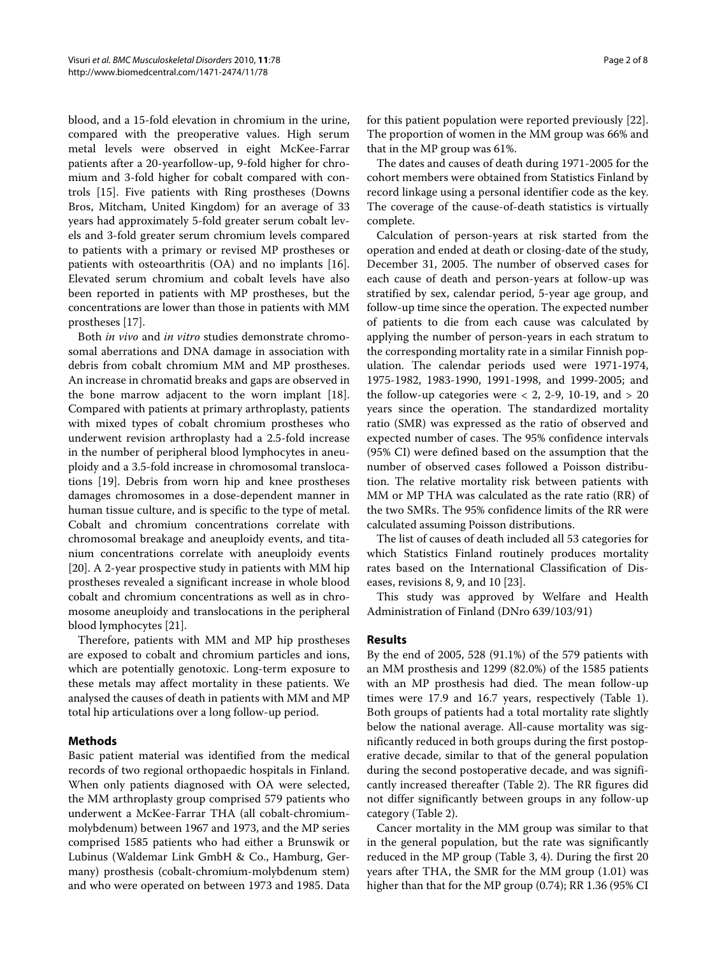blood, and a 15-fold elevation in chromium in the urine, compared with the preoperative values. High serum metal levels were observed in eight McKee-Farrar patients after a 20-yearfollow-up, 9-fold higher for chromium and 3-fold higher for cobalt compared with controls [\[15](#page-6-9)]. Five patients with Ring prostheses (Downs Bros, Mitcham, United Kingdom) for an average of 33 years had approximately 5-fold greater serum cobalt levels and 3-fold greater serum chromium levels compared to patients with a primary or revised MP prostheses or patients with osteoarthritis (OA) and no implants [\[16](#page-6-10)]. Elevated serum chromium and cobalt levels have also been reported in patients with MP prostheses, but the concentrations are lower than those in patients with MM prostheses [\[17](#page-6-11)].

Both *in vivo* and *in vitro* studies demonstrate chromosomal aberrations and DNA damage in association with debris from cobalt chromium MM and MP prostheses. An increase in chromatid breaks and gaps are observed in the bone marrow adjacent to the worn implant [\[18](#page-6-12)]. Compared with patients at primary arthroplasty, patients with mixed types of cobalt chromium prostheses who underwent revision arthroplasty had a 2.5-fold increase in the number of peripheral blood lymphocytes in aneuploidy and a 3.5-fold increase in chromosomal translocations [[19](#page-6-13)]. Debris from worn hip and knee prostheses damages chromosomes in a dose-dependent manner in human tissue culture, and is specific to the type of metal. Cobalt and chromium concentrations correlate with chromosomal breakage and aneuploidy events, and titanium concentrations correlate with aneuploidy events [[20\]](#page-6-14). A 2-year prospective study in patients with MM hip prostheses revealed a significant increase in whole blood cobalt and chromium concentrations as well as in chromosome aneuploidy and translocations in the peripheral blood lymphocytes [\[21\]](#page-6-15).

Therefore, patients with MM and MP hip prostheses are exposed to cobalt and chromium particles and ions, which are potentially genotoxic. Long-term exposure to these metals may affect mortality in these patients. We analysed the causes of death in patients with MM and MP total hip articulations over a long follow-up period.

## **Methods**

Basic patient material was identified from the medical records of two regional orthopaedic hospitals in Finland. When only patients diagnosed with OA were selected, the MM arthroplasty group comprised 579 patients who underwent a McKee-Farrar THA (all cobalt-chromiummolybdenum) between 1967 and 1973, and the MP series comprised 1585 patients who had either a Brunswik or Lubinus (Waldemar Link GmbH & Co., Hamburg, Germany) prosthesis (cobalt-chromium-molybdenum stem) and who were operated on between 1973 and 1985. Data for this patient population were reported previously [\[22](#page-6-16)]. The proportion of women in the MM group was 66% and that in the MP group was 61%.

The dates and causes of death during 1971-2005 for the cohort members were obtained from Statistics Finland by record linkage using a personal identifier code as the key. The coverage of the cause-of-death statistics is virtually complete.

Calculation of person-years at risk started from the operation and ended at death or closing-date of the study, December 31, 2005. The number of observed cases for each cause of death and person-years at follow-up was stratified by sex, calendar period, 5-year age group, and follow-up time since the operation. The expected number of patients to die from each cause was calculated by applying the number of person-years in each stratum to the corresponding mortality rate in a similar Finnish population. The calendar periods used were 1971-1974, 1975-1982, 1983-1990, 1991-1998, and 1999-2005; and the follow-up categories were  $< 2$ , 2-9, 10-19, and  $> 20$ years since the operation. The standardized mortality ratio (SMR) was expressed as the ratio of observed and expected number of cases. The 95% confidence intervals (95% CI) were defined based on the assumption that the number of observed cases followed a Poisson distribution. The relative mortality risk between patients with MM or MP THA was calculated as the rate ratio (RR) of the two SMRs. The 95% confidence limits of the RR were calculated assuming Poisson distributions.

The list of causes of death included all 53 categories for which Statistics Finland routinely produces mortality rates based on the International Classification of Diseases, revisions 8, 9, and 10 [\[23](#page-6-17)].

This study was approved by Welfare and Health Administration of Finland (DNro 639/103/91)

#### **Results**

By the end of 2005, 528 (91.1%) of the 579 patients with an MM prosthesis and 1299 (82.0%) of the 1585 patients with an MP prosthesis had died. The mean follow-up times were 17.9 and 16.7 years, respectively (Table 1). Both groups of patients had a total mortality rate slightly below the national average. All-cause mortality was significantly reduced in both groups during the first postoperative decade, similar to that of the general population during the second postoperative decade, and was significantly increased thereafter (Table [2](#page-3-0)). The RR figures did not differ significantly between groups in any follow-up category (Table 2).

Cancer mortality in the MM group was similar to that in the general population, but the rate was significantly reduced in the MP group (Table [3](#page-4-0), 4). During the first 20 years after THA, the SMR for the MM group (1.01) was higher than that for the MP group (0.74); RR 1.36 (95% CI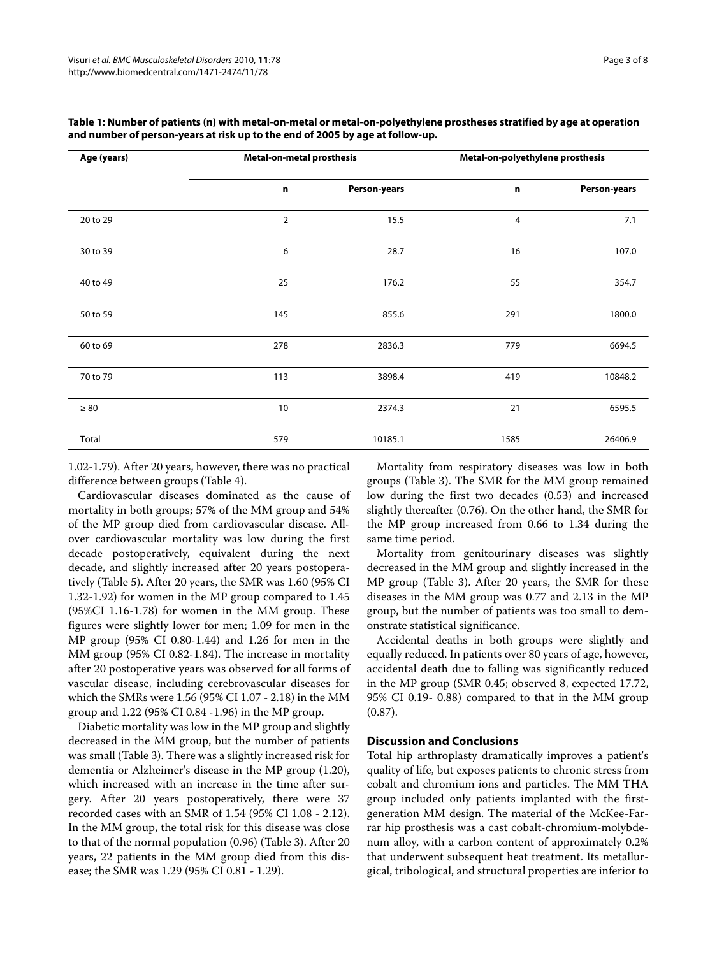| Age (years)<br>20 to 29 | <b>Metal-on-metal prosthesis</b> |              | Metal-on-polyethylene prosthesis |              |  |  |
|-------------------------|----------------------------------|--------------|----------------------------------|--------------|--|--|
|                         | n                                | Person-years | n                                | Person-years |  |  |
|                         | 2                                | 15.5         | 4                                | 7.1          |  |  |
| 30 to 39                | 6                                | 28.7         | 16                               | 107.0        |  |  |
| 40 to 49                | 25                               | 176.2        | 55                               | 354.7        |  |  |
| 50 to 59                | 145                              | 855.6        | 291                              | 1800.0       |  |  |
| 60 to 69                | 278                              | 2836.3       | 779                              | 6694.5       |  |  |
| 70 to 79                | 113                              | 3898.4       | 419                              | 10848.2      |  |  |
| $\geq 80$               | 10                               | 2374.3       | 21                               | 6595.5       |  |  |
| Total                   | 579                              | 10185.1      | 1585                             | 26406.9      |  |  |

**Table 1: Number of patients (n) with metal-on-metal or metal-on-polyethylene prostheses stratified by age at operation and number of person-years at risk up to the end of 2005 by age at follow-up.**

1.02-1.79). After 20 years, however, there was no practical difference between groups (Table 4).

Cardiovascular diseases dominated as the cause of mortality in both groups; 57% of the MM group and 54% of the MP group died from cardiovascular disease. Allover cardiovascular mortality was low during the first decade postoperatively, equivalent during the next decade, and slightly increased after 20 years postoperatively (Table 5). After 20 years, the SMR was 1.60 (95% CI 1.32-1.92) for women in the MP group compared to 1.45 (95%CI 1.16-1.78) for women in the MM group. These figures were slightly lower for men; 1.09 for men in the MP group (95% CI 0.80-1.44) and 1.26 for men in the MM group (95% CI 0.82-1.84). The increase in mortality after 20 postoperative years was observed for all forms of vascular disease, including cerebrovascular diseases for which the SMRs were 1.56 (95% CI 1.07 - 2.18) in the MM group and 1.22 (95% CI 0.84 -1.96) in the MP group.

Diabetic mortality was low in the MP group and slightly decreased in the MM group, but the number of patients was small (Table 3). There was a slightly increased risk for dementia or Alzheimer's disease in the MP group (1.20), which increased with an increase in the time after surgery. After 20 years postoperatively, there were 37 recorded cases with an SMR of 1.54 (95% CI 1.08 - 2.12). In the MM group, the total risk for this disease was close to that of the normal population (0.96) (Table 3). After 20 years, 22 patients in the MM group died from this disease; the SMR was 1.29 (95% CI 0.81 - 1.29).

Mortality from respiratory diseases was low in both groups (Table [3](#page-4-0)). The SMR for the MM group remained low during the first two decades (0.53) and increased slightly thereafter (0.76). On the other hand, the SMR for the MP group increased from 0.66 to 1.34 during the same time period.

Mortality from genitourinary diseases was slightly decreased in the MM group and slightly increased in the MP group (Table 3). After 20 years, the SMR for these diseases in the MM group was 0.77 and 2.13 in the MP group, but the number of patients was too small to demonstrate statistical significance.

Accidental deaths in both groups were slightly and equally reduced. In patients over 80 years of age, however, accidental death due to falling was significantly reduced in the MP group (SMR 0.45; observed 8, expected 17.72, 95% CI 0.19- 0.88) compared to that in the MM group (0.87).

## **Discussion and Conclusions**

Total hip arthroplasty dramatically improves a patient's quality of life, but exposes patients to chronic stress from cobalt and chromium ions and particles. The MM THA group included only patients implanted with the firstgeneration MM design. The material of the McKee-Farrar hip prosthesis was a cast cobalt-chromium-molybdenum alloy, with a carbon content of approximately 0.2% that underwent subsequent heat treatment. Its metallurgical, tribological, and structural properties are inferior to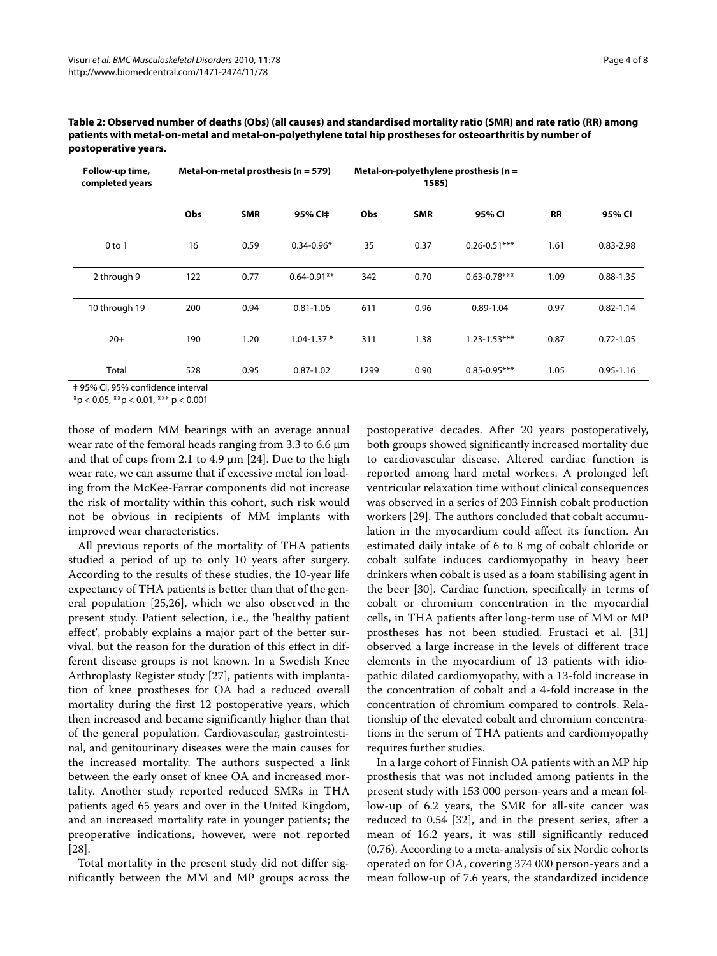| Follow-up time,<br>completed years | Metal-on-metal prosthesis ( $n = 579$ ) |            |                 | Metal-on-polyethylene prosthesis ( $n =$<br>1585) |            |                  |           |               |
|------------------------------------|-----------------------------------------|------------|-----------------|---------------------------------------------------|------------|------------------|-----------|---------------|
|                                    | Obs                                     | <b>SMR</b> | 95% CI‡         | Obs                                               | <b>SMR</b> | 95% CI           | <b>RR</b> | 95% CI        |
| $0$ to 1                           | 16                                      | 0.59       | $0.34 - 0.96*$  | 35                                                | 0.37       | $0.26 - 0.51***$ | 1.61      | $0.83 - 2.98$ |
| 2 through 9                        | 122                                     | 0.77       | $0.64 - 0.91**$ | 342                                               | 0.70       | $0.63 - 0.78***$ | 1.09      | $0.88 - 1.35$ |
| 10 through 19                      | 200                                     | 0.94       | $0.81 - 1.06$   | 611                                               | 0.96       | $0.89 - 1.04$    | 0.97      | $0.82 - 1.14$ |
| $20+$                              | 190                                     | 1.20       | $1.04 - 1.37*$  | 311                                               | 1.38       | $1.23 - 1.53***$ | 0.87      | $0.72 - 1.05$ |
| Total                              | 528                                     | 0.95       | $0.87 - 1.02$   | 1299                                              | 0.90       | $0.85 - 0.95***$ | 1.05      | $0.95 - 1.16$ |

<span id="page-3-0"></span>**Table 2: Observed number of deaths (Obs) (all causes) and standardised mortality ratio (SMR) and rate ratio (RR) among patients with metal-on-metal and metal-on-polyethylene total hip prostheses for osteoarthritis by number of postoperative years.**

‡ 95% CI, 95% confidence interval

 $*$ p < 0.05,  $*$  $*$ p < 0.01,  $*$  $*$  $*$  p < 0.001

those of modern MM bearings with an average annual wear rate of the femoral heads ranging from 3.3 to 6.6 μm and that of cups from 2.1 to 4.9 μm [\[24\]](#page-6-18). Due to the high wear rate, we can assume that if excessive metal ion loading from the McKee-Farrar components did not increase the risk of mortality within this cohort, such risk would not be obvious in recipients of MM implants with improved wear characteristics.

All previous reports of the mortality of THA patients studied a period of up to only 10 years after surgery. According to the results of these studies, the 10-year life expectancy of THA patients is better than that of the general population [\[25,](#page-6-19)[26\]](#page-6-20), which we also observed in the present study. Patient selection, i.e., the 'healthy patient effect', probably explains a major part of the better survival, but the reason for the duration of this effect in different disease groups is not known. In a Swedish Knee Arthroplasty Register study [[27\]](#page-6-21), patients with implantation of knee prostheses for OA had a reduced overall mortality during the first 12 postoperative years, which then increased and became significantly higher than that of the general population. Cardiovascular, gastrointestinal, and genitourinary diseases were the main causes for the increased mortality. The authors suspected a link between the early onset of knee OA and increased mortality. Another study reported reduced SMRs in THA patients aged 65 years and over in the United Kingdom, and an increased mortality rate in younger patients; the preoperative indications, however, were not reported [[28\]](#page-6-22).

Total mortality in the present study did not differ significantly between the MM and MP groups across the

postoperative decades. After 20 years postoperatively, both groups showed significantly increased mortality due to cardiovascular disease. Altered cardiac function is reported among hard metal workers. A prolonged left ventricular relaxation time without clinical consequences was observed in a series of 203 Finnish cobalt production workers [[29\]](#page-6-23). The authors concluded that cobalt accumulation in the myocardium could affect its function. An estimated daily intake of 6 to 8 mg of cobalt chloride or cobalt sulfate induces cardiomyopathy in heavy beer drinkers when cobalt is used as a foam stabilising agent in the beer [[30\]](#page-6-24). Cardiac function, specifically in terms of cobalt or chromium concentration in the myocardial cells, in THA patients after long-term use of MM or MP prostheses has not been studied. Frustaci et al. [[31](#page-6-25)] observed a large increase in the levels of different trace elements in the myocardium of 13 patients with idiopathic dilated cardiomyopathy, with a 13-fold increase in the concentration of cobalt and a 4-fold increase in the concentration of chromium compared to controls. Relationship of the elevated cobalt and chromium concentrations in the serum of THA patients and cardiomyopathy requires further studies.

In a large cohort of Finnish OA patients with an MP hip prosthesis that was not included among patients in the present study with 153 000 person-years and a mean follow-up of 6.2 years, the SMR for all-site cancer was reduced to 0.54 [[32\]](#page-6-26), and in the present series, after a mean of 16.2 years, it was still significantly reduced (0.76). According to a meta-analysis of six Nordic cohorts operated on for OA, covering 374 000 person-years and a mean follow-up of 7.6 years, the standardized incidence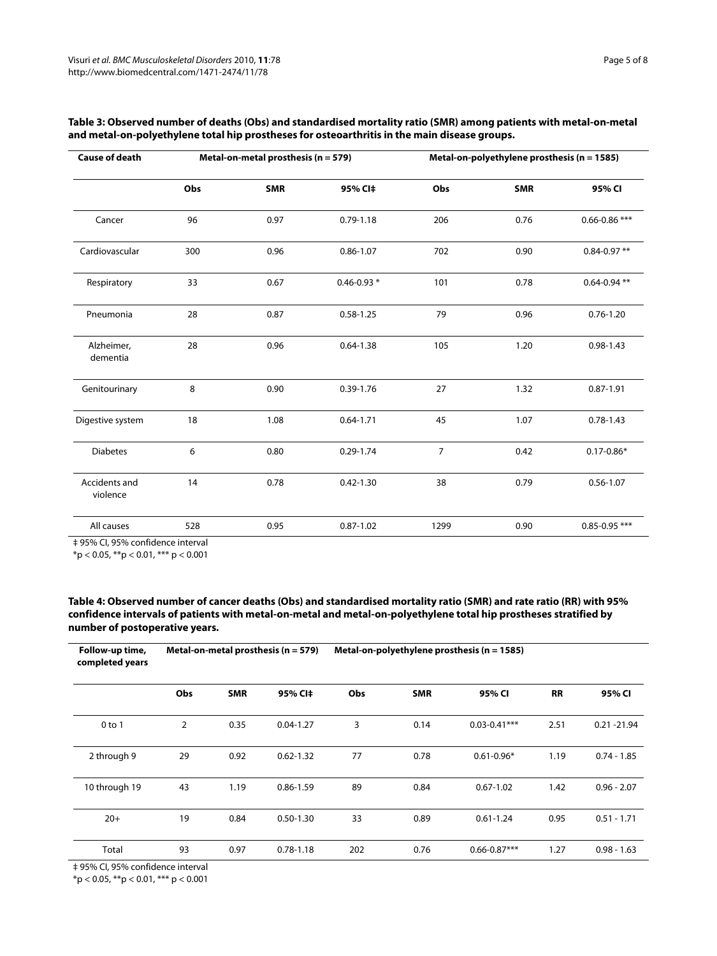| <b>Cause of death</b>     |     | Metal-on-metal prosthesis (n = 579) |                | Metal-on-polyethylene prosthesis (n = 1585) |            |                   |  |
|---------------------------|-----|-------------------------------------|----------------|---------------------------------------------|------------|-------------------|--|
|                           | Obs | <b>SMR</b>                          | 95% CI‡        | Obs                                         | <b>SMR</b> | 95% CI            |  |
| Cancer                    | 96  | 0.97                                | $0.79 - 1.18$  | 206                                         | 0.76       | $0.66 - 0.86$ *** |  |
| Cardiovascular            | 300 | 0.96                                | $0.86 - 1.07$  | 702                                         | 0.90       | $0.84 - 0.97$ **  |  |
| Respiratory               | 33  | 0.67                                | $0.46 - 0.93*$ | 101                                         | 0.78       | $0.64 - 0.94$ **  |  |
| Pneumonia                 | 28  | 0.87                                | $0.58 - 1.25$  | 79                                          | 0.96       | $0.76 - 1.20$     |  |
| Alzheimer,<br>dementia    | 28  | 0.96                                | $0.64 - 1.38$  | 105                                         | 1.20       | $0.98 - 1.43$     |  |
| Genitourinary             | 8   | 0.90                                | $0.39 - 1.76$  | 27                                          | 1.32       | $0.87 - 1.91$     |  |
| Digestive system          | 18  | 1.08                                | $0.64 - 1.71$  | 45                                          | 1.07       | $0.78 - 1.43$     |  |
| <b>Diabetes</b>           | 6   | 0.80                                | $0.29 - 1.74$  | $\overline{7}$                              | 0.42       | $0.17 - 0.86*$    |  |
| Accidents and<br>violence | 14  | 0.78                                | $0.42 - 1.30$  | 38                                          | 0.79       | $0.56 - 1.07$     |  |
| All causes                | 528 | 0.95                                | $0.87 - 1.02$  | 1299                                        | 0.90       | $0.85 - 0.95$ *** |  |

## <span id="page-4-0"></span>**Table 3: Observed number of deaths (Obs) and standardised mortality ratio (SMR) among patients with metal-on-metal and metal-on-polyethylene total hip prostheses for osteoarthritis in the main disease groups.**

‡ 95% CI, 95% confidence interval

 $*p < 0.05$ ,  $**p < 0.01$ ,  $***p < 0.001$ 

## **Table 4: Observed number of cancer deaths (Obs) and standardised mortality ratio (SMR) and rate ratio (RR) with 95% confidence intervals of patients with metal-on-metal and metal-on-polyethylene total hip prostheses stratified by number of postoperative years.**

| Follow-up time,<br>completed years | Metal-on-metal prosthesis ( $n = 579$ ) |            |               |     | Metal-on-polyethylene prosthesis ( $n = 1585$ ) |                  |           |                |
|------------------------------------|-----------------------------------------|------------|---------------|-----|-------------------------------------------------|------------------|-----------|----------------|
|                                    | Obs                                     | <b>SMR</b> | 95% CI‡       | Obs | <b>SMR</b>                                      | 95% CI           | <b>RR</b> | 95% CI         |
| $0$ to 1                           | $\overline{2}$                          | 0.35       | $0.04 - 1.27$ | 3   | 0.14                                            | $0.03 - 0.41***$ | 2.51      | $0.21 - 21.94$ |
| 2 through 9                        | 29                                      | 0.92       | $0.62 - 1.32$ | 77  | 0.78                                            | $0.61 - 0.96*$   | 1.19      | $0.74 - 1.85$  |
| 10 through 19                      | 43                                      | 1.19       | $0.86 - 1.59$ | 89  | 0.84                                            | $0.67 - 1.02$    | 1.42      | $0.96 - 2.07$  |
| $20+$                              | 19                                      | 0.84       | $0.50 - 1.30$ | 33  | 0.89                                            | $0.61 - 1.24$    | 0.95      | $0.51 - 1.71$  |
| Total                              | 93                                      | 0.97       | $0.78 - 1.18$ | 202 | 0.76                                            | $0.66 - 0.87***$ | 1.27      | $0.98 - 1.63$  |

‡ 95% CI, 95% confidence interval

 $*$ p < 0.05,  $*$  $*$ p < 0.01,  $*$  $*$  $*$  p < 0.001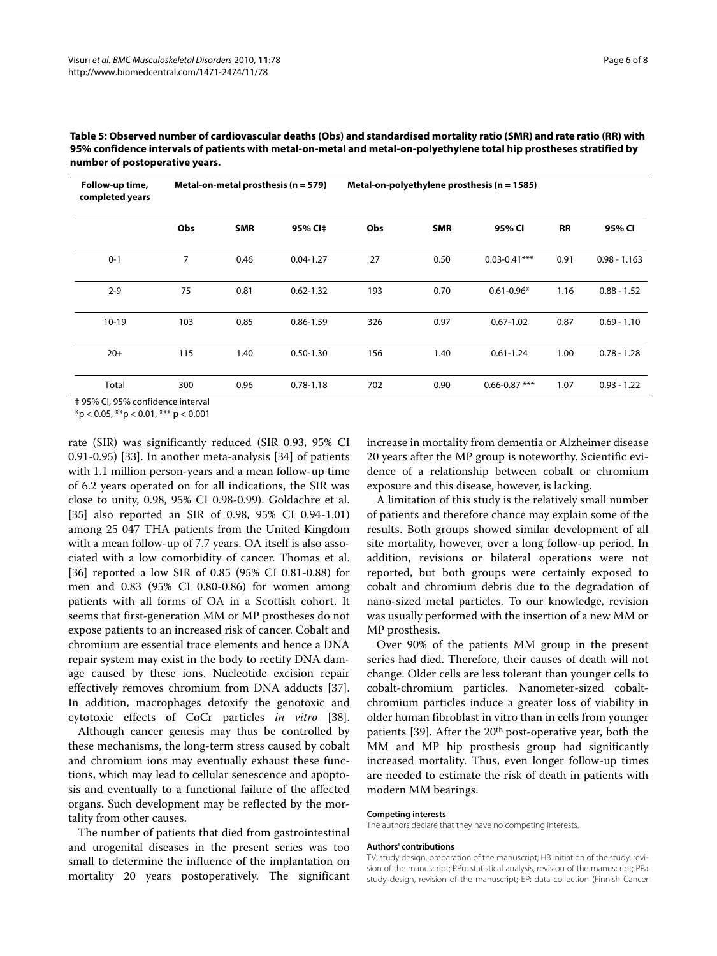| Follow-up time,<br>completed years |     | Metal-on-metal prosthesis ( $n = 579$ ) |               | Metal-on-polyethylene prosthesis ( $n = 1585$ ) |            |                   |           |                |  |
|------------------------------------|-----|-----------------------------------------|---------------|-------------------------------------------------|------------|-------------------|-----------|----------------|--|
|                                    | Obs | <b>SMR</b>                              | 95% CI‡       | Obs                                             | <b>SMR</b> | 95% CI            | <b>RR</b> | 95% CI         |  |
| $0 - 1$                            | 7   | 0.46                                    | $0.04 - 1.27$ | 27                                              | 0.50       | $0.03 - 0.41***$  | 0.91      | $0.98 - 1.163$ |  |
| $2 - 9$                            | 75  | 0.81                                    | $0.62 - 1.32$ | 193                                             | 0.70       | $0.61 - 0.96*$    | 1.16      | $0.88 - 1.52$  |  |
| $10-19$                            | 103 | 0.85                                    | $0.86 - 1.59$ | 326                                             | 0.97       | $0.67 - 1.02$     | 0.87      | $0.69 - 1.10$  |  |
| $20+$                              | 115 | 1.40                                    | $0.50 - 1.30$ | 156                                             | 1.40       | $0.61 - 1.24$     | 1.00      | $0.78 - 1.28$  |  |
| Total                              | 300 | 0.96                                    | $0.78 - 1.18$ | 702                                             | 0.90       | $0.66 - 0.87$ *** | 1.07      | $0.93 - 1.22$  |  |

**Table 5: Observed number of cardiovascular deaths (Obs) and standardised mortality ratio (SMR) and rate ratio (RR) with 95% confidence intervals of patients with metal-on-metal and metal-on-polyethylene total hip prostheses stratified by number of postoperative years.**

‡ 95% CI, 95% confidence interval

 $*p < 0.05$ ,  $**p < 0.01$ ,  $***p < 0.001$ 

rate (SIR) was significantly reduced (SIR 0.93, 95% CI 0.91-0.95) [[33\]](#page-6-27). In another meta-analysis [[34\]](#page-6-28) of patients with 1.1 million person-years and a mean follow-up time of 6.2 years operated on for all indications, the SIR was close to unity, 0.98, 95% CI 0.98-0.99). Goldachre et al. [[35\]](#page-6-29) also reported an SIR of 0.98, 95% CI 0.94-1.01) among 25 047 THA patients from the United Kingdom with a mean follow-up of 7.7 years. OA itself is also associated with a low comorbidity of cancer. Thomas et al. [[36\]](#page-6-30) reported a low SIR of 0.85 (95% CI 0.81-0.88) for men and 0.83 (95% CI 0.80-0.86) for women among patients with all forms of OA in a Scottish cohort. It seems that first-generation MM or MP prostheses do not expose patients to an increased risk of cancer. Cobalt and chromium are essential trace elements and hence a DNA repair system may exist in the body to rectify DNA damage caused by these ions. Nucleotide excision repair effectively removes chromium from DNA adducts [\[37](#page-6-31)]. In addition, macrophages detoxify the genotoxic and cytotoxic effects of CoCr particles *in vitro* [\[38](#page-6-32)].

Although cancer genesis may thus be controlled by these mechanisms, the long-term stress caused by cobalt and chromium ions may eventually exhaust these functions, which may lead to cellular senescence and apoptosis and eventually to a functional failure of the affected organs. Such development may be reflected by the mortality from other causes.

The number of patients that died from gastrointestinal and urogenital diseases in the present series was too small to determine the influence of the implantation on mortality 20 years postoperatively. The significant increase in mortality from dementia or Alzheimer disease 20 years after the MP group is noteworthy. Scientific evidence of a relationship between cobalt or chromium exposure and this disease, however, is lacking.

A limitation of this study is the relatively small number of patients and therefore chance may explain some of the results. Both groups showed similar development of all site mortality, however, over a long follow-up period. In addition, revisions or bilateral operations were not reported, but both groups were certainly exposed to cobalt and chromium debris due to the degradation of nano-sized metal particles. To our knowledge, revision was usually performed with the insertion of a new MM or MP prosthesis.

Over 90% of the patients MM group in the present series had died. Therefore, their causes of death will not change. Older cells are less tolerant than younger cells to cobalt-chromium particles. Nanometer-sized cobaltchromium particles induce a greater loss of viability in older human fibroblast in vitro than in cells from younger patients [\[39](#page-7-0)]. After the 20<sup>th</sup> post-operative year, both the MM and MP hip prosthesis group had significantly increased mortality. Thus, even longer follow-up times are needed to estimate the risk of death in patients with modern MM bearings.

#### **Competing interests**

The authors declare that they have no competing interests.

#### **Authors' contributions**

TV: study design, preparation of the manuscript; HB initiation of the study, revision of the manuscript; PPu: statistical analysis, revision of the manuscript; PPa study design, revision of the manuscript; EP: data collection (Finnish Cancer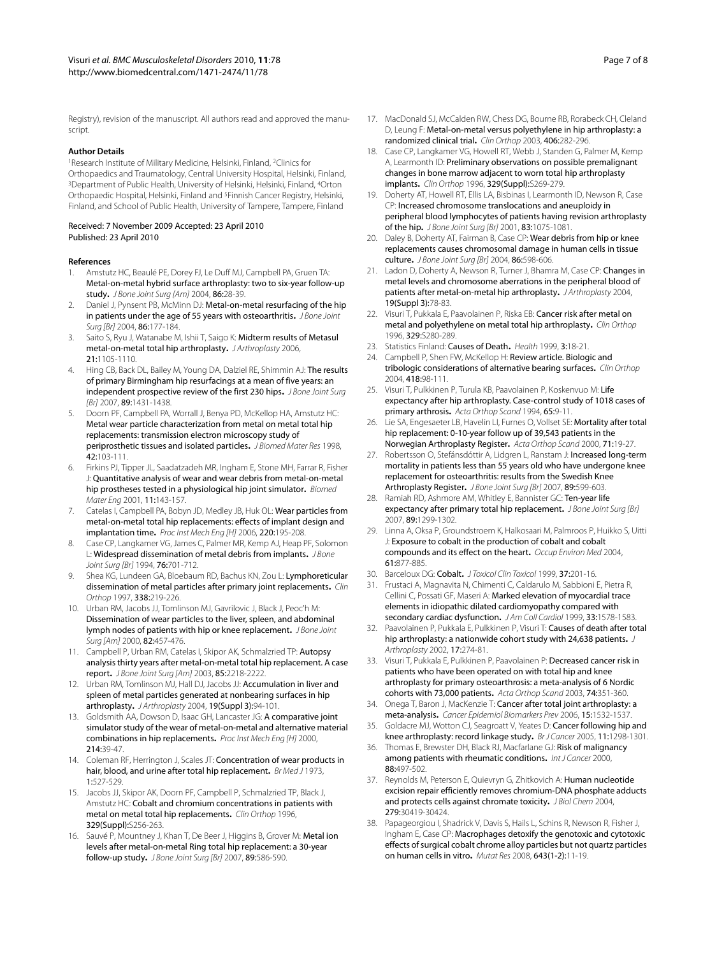#### **Author Details**

1Research Institute of Military Medicine, Helsinki, Finland, 2Clinics for Orthopaedics and Traumatology, Central University Hospital, Helsinki, Finland, 3Department of Public Health, University of Helsinki, Helsinki, Finland, 4Orton Orthopaedic Hospital, Helsinki, Finland and 5Finnish Cancer Registry, Helsinki, Finland, and School of Public Health, University of Tampere, Tampere, Finland

#### Received: 7 November 2009 Accepted: 23 April 2010 Published: 23 April 2010

#### **References**

- <span id="page-6-0"></span>1. Amstutz HC, Beaulé PE, Dorey FJ, Le Duff MJ, Campbell PA, Gruen TA: Metal-on-metal hybrid surface arthroplasty: two to six-year follow-up study**.** J Bone Joint Surg [Am] 2004, 86:28-39.
- 2. Daniel J, Pynsent PB, McMinn DJ: Metal-on-metal resurfacing of the hip in patients under the age of 55 years with osteoarthritis. J Bone Joint Surg [Br] 2004, 86:177-184.
- 3. Saito S, Ryu J, Watanabe M, Ishii T, Saigo K: Midterm results of Metasul metal-on-metal total hip arthroplasty**.** J Arthroplasty 2006, 21:1105-1110.
- <span id="page-6-1"></span>4. Hing CB, Back DL, Bailey M, Young DA, Dalziel RE, Shimmin AJ: The results of primary Birmingham hip resurfacings at a mean of five years: an independent prospective review of the first 230 hips. J Bone Joint Surg [Br] 2007, 89:1431-1438.
- <span id="page-6-2"></span>5. Doorn PF, Campbell PA, Worrall J, Benya PD, McKellop HA, Amstutz HC: Metal wear particle characterization from metal on metal total hip replacements: transmission electron microscopy study of periprosthetic tissues and isolated particles**.** J Biomed Mater Res 1998, 42:103-111.
- 6. Firkins PJ, Tipper JL, Saadatzadeh MR, Ingham E, Stone MH, Farrar R, Fisher J: Quantitative analysis of wear and wear debris from metal-on-metal hip prostheses tested in a physiological hip joint simulator**[.](http://www.ncbi.nlm.nih.gov/entrez/query.fcgi?cmd=Retrieve&db=PubMed&dopt=Abstract&list_uids=11352113)** Biomed Mater Eng 2001, 11:143-157.
- <span id="page-6-3"></span>7. Catelas I, Campbell PA, Bobyn JD, Medley JB, Huk OL: Wear particles from metal-on-metal total hip replacements: effects of implant design and implantation time**.** Proc Inst Mech Eng [H] 2006, 220:195-208.
- <span id="page-6-4"></span>8. Case CP, Langkamer VG, James C, Palmer MR, Kemp AJ, Heap PF, Solomon L: Widespread dissemination of metal debris from implants**.** J Bone Joint Surg [Br] 1994, 76:701-712.
- 9. Shea KG, Lundeen GA, Bloebaum RD, Bachus KN, Zou L: Lymphoreticular dissemination of metal particles after primary joint replacements**.** Clin Orthop 1997, 338:219-226.
- 10. Urban RM, Jacobs JJ, Tomlinson MJ, Gavrilovic J, Black J, Peoc'h M: Dissemination of wear particles to the liver, spleen, and abdominal lymph nodes of patients with hip or knee replacement**.** J Bone Joint Surg [Am] 2000, 82:457-476.
- <span id="page-6-7"></span>11. Campbell P, Urban RM, Catelas I, Skipor AK, Schmalzried TP: Autopsy analysis thirty years after metal-on-metal total hip replacement. A case report**.** J Bone Joint Surg [Am] 2003, 85:2218-2222.
- <span id="page-6-5"></span>12. Urban RM, Tomlinson MJ, Hall DJ, Jacobs JJ: Accumulation in liver and spleen of metal particles generated at nonbearing surfaces in hip arthroplasty**.** J Arthroplasty 2004, 19(Suppl 3):94-101.
- <span id="page-6-6"></span>13. Goldsmith AA, Dowson D, Isaac GH, Lancaster JG: A comparative joint simulator study of the wear of metal-on-metal and alternative material combinations in hip replacements**.** Proc Inst Mech Eng [H] 2000, 214:39-47.
- <span id="page-6-8"></span>14. Coleman RF, Herrington J, Scales JT: Concentration of wear products in hair, blood, and urine after total hip replacement**.** Br Med J 1973, 1:527-529.
- <span id="page-6-9"></span>15. Jacobs JJ, Skipor AK, Doorn PF, Campbell P, Schmalzried TP, Black J, Amstutz HC: Cobalt and chromium concentrations in patients with metal on metal total hip replacements**.** Clin Orthop 1996, 329(Suppl):S256-263.
- <span id="page-6-10"></span>16. Sauvé P, Mountney J, Khan T, De Beer J, Higgins B, Grover M: Metal ion levels after metal-on-metal Ring total hip replacement: a 30-year follow-up study**.** J Bone Joint Surg [Br] 2007, 89:586-590.
- <span id="page-6-11"></span>17. MacDonald SJ, McCalden RW, Chess DG, Bourne RB, Rorabeck CH, Cleland D, Leung F: Metal-on-metal versus polyethylene in hip arthroplasty: a randomized clinical trial**.** Clin Orthop 2003, 406:282-296.
- <span id="page-6-12"></span>18. Case CP, Langkamer VG, Howell RT, Webb J, Standen G, Palmer M, Kemp A, Learmonth ID: Preliminary observations on possible premalignant changes in bone marrow adjacent to worn total hip arthroplasty implants**.** Clin Orthop 1996, 329(Suppl):S269-279.
- <span id="page-6-13"></span>19. Doherty AT, Howell RT, Ellis LA, Bisbinas I, Learmonth ID, Newson R, Case CP: Increased chromosome translocations and aneuploidy in peripheral blood lymphocytes of patients having revision arthroplasty of the hip**.** J Bone Joint Surg [Br] 2001, 83:1075-1081.
- <span id="page-6-14"></span>20. Daley B, Doherty AT, Fairman B, Case CP: Wear debris from hip or knee replacements causes chromosomal damage in human cells in tissue culture**.** J Bone Joint Surg [Br] 2004, 86:598-606.
- <span id="page-6-15"></span>21. Ladon D, Doherty A, Newson R, Turner J, Bhamra M, Case CP: Changes in metal levels and chromosome aberrations in the peripheral blood of patients after metal-on-metal hip arthroplasty**.** J Arthroplasty 2004, 19(Suppl 3):78-83.
- <span id="page-6-16"></span>22. Visuri T, Pukkala E, Paavolainen P, Riska EB: Cancer risk after metal on metal and polyethylene on metal total hip arthroplasty**.** Clin Orthop 1996, 329:S280-289.
- <span id="page-6-17"></span>23. Statistics Finland: Causes of Death**.** Health 1999, 3:18-21.
- <span id="page-6-18"></span>24. Campbell P, Shen FW, McKellop H: Review article. Biologic and tribologic considerations of alternative bearing surfaces**.** Clin Orthop 2004, 418:98-111.
- <span id="page-6-19"></span>25. Visuri T, Pulkkinen P, Turula KB, Paavolainen P, Koskenvuo M: Life expectancy after hip arthroplasty. Case-control study of 1018 cases of primary arthrosis**.** Acta Orthop Scand 1994, 65:9-11.
- <span id="page-6-20"></span>26. Lie SA, Engesaeter LB, Havelin LI, Furnes O, Vollset SE: Mortality after total hip replacement: 0-10-year follow up of 39,543 patients in the Norwegian Arthroplasty Register**.** Acta Orthop Scand 2000, 71:19-27.
- <span id="page-6-21"></span>27. Robertsson O, Stefánsdóttir A, Lidgren L, Ranstam J: Increased long-term mortality in patients less than 55 years old who have undergone knee replacement for osteoarthritis: results from the Swedish Knee Arthroplasty Register. J Bone Joint Surg [Br] 2007, 89:599-603.
- <span id="page-6-22"></span>28. Ramiah RD, Ashmore AM, Whitley E, Bannister GC: Ten-year life expectancy after primary total hip replacement. J Bone Joint Surg [Br] 2007, 89:1299-1302.
- <span id="page-6-23"></span>29. Linna A, Oksa P, Groundstroem K, Halkosaari M, Palmroos P, Huikko S, Uitti J: Exposure to cobalt in the production of cobalt and cobalt compounds and its effect on the heart**.** Occup Environ Med 2004, 61:877-885.
- <span id="page-6-24"></span>30. Barceloux DG: Cobalt**[.](http://www.ncbi.nlm.nih.gov/entrez/query.fcgi?cmd=Retrieve&db=PubMed&dopt=Abstract&list_uids=10382556)** J Toxicol Clin Toxicol 1999, 37:201-16.
- <span id="page-6-25"></span>31. Frustaci A, Magnavita N, Chimenti C, Caldarulo M, Sabbioni E, Pietra R, Cellini C, Possati GF, Maseri A: Marked elevation of myocardial trace elements in idiopathic dilated cardiomyopathy compared with secondary cardiac dysfunction. JAm Coll Cardiol 1999, 33:1578-1583.
- <span id="page-6-26"></span>32. Paavolainen P, Pukkala E, Pulkkinen P, Visuri T: Causes of death after total hip arthroplasty: a nationwide cohort study with 24,638 patients**.** J Arthroplasty 2002, 17:274-81.
- <span id="page-6-27"></span>33. Visuri T, Pukkala E, Pulkkinen P, Paavolainen P: Decreased cancer risk in patients who have been operated on with total hip and knee arthroplasty for primary osteoarthrosis: a meta-analysis of 6 Nordic cohorts with 73,000 patients**[.](http://www.ncbi.nlm.nih.gov/entrez/query.fcgi?cmd=Retrieve&db=PubMed&dopt=Abstract&list_uids=12899558)** Acta Orthop Scand 2003, 74:351-360.
- <span id="page-6-28"></span>34. Onega T, Baron J, MacKenzie T: Cancer after total joint arthroplasty: a meta-analysis**[.](http://www.ncbi.nlm.nih.gov/entrez/query.fcgi?cmd=Retrieve&db=PubMed&dopt=Abstract&list_uids=16896045)** Cancer Epidemiol Biomarkers Prev 2006, 15:1532-1537.
- <span id="page-6-29"></span>35. Goldacre MJ, Wotton CJ, Seagroatt V, Yeates D: Cancer following hip and knee arthroplasty: record linkage study**.** Br J Cancer 2005, 11:1298-1301.
- <span id="page-6-30"></span>36. Thomas E, Brewster DH, Black RJ, Macfarlane GJ: Risk of malignancy among patients with rheumatic conditions**.** Int J Cancer 2000, 88:497-502.
- <span id="page-6-31"></span>37. Reynolds M, Peterson E, Quievryn G, Zhitkovich A: Human nucleotide excision repair efficiently removes chromium-DNA phosphate adducts and protects cells against chromate toxicity**.** J Biol Chem 2004, 279:30419-30424.
- <span id="page-6-32"></span>38. Papageorgiou I, Shadrick V, Davis S, Hails L, Schins R, Newson R, Fisher J, Ingham E, Case CP: Macrophages detoxify the genotoxic and cytotoxic effects of surgical cobalt chrome alloy particles but not quartz particles on human cells in vitro**[.](http://www.ncbi.nlm.nih.gov/entrez/query.fcgi?cmd=Retrieve&db=PubMed&dopt=Abstract&list_uids=18614183)** Mutat Res 2008, 643(1-2):11-19.